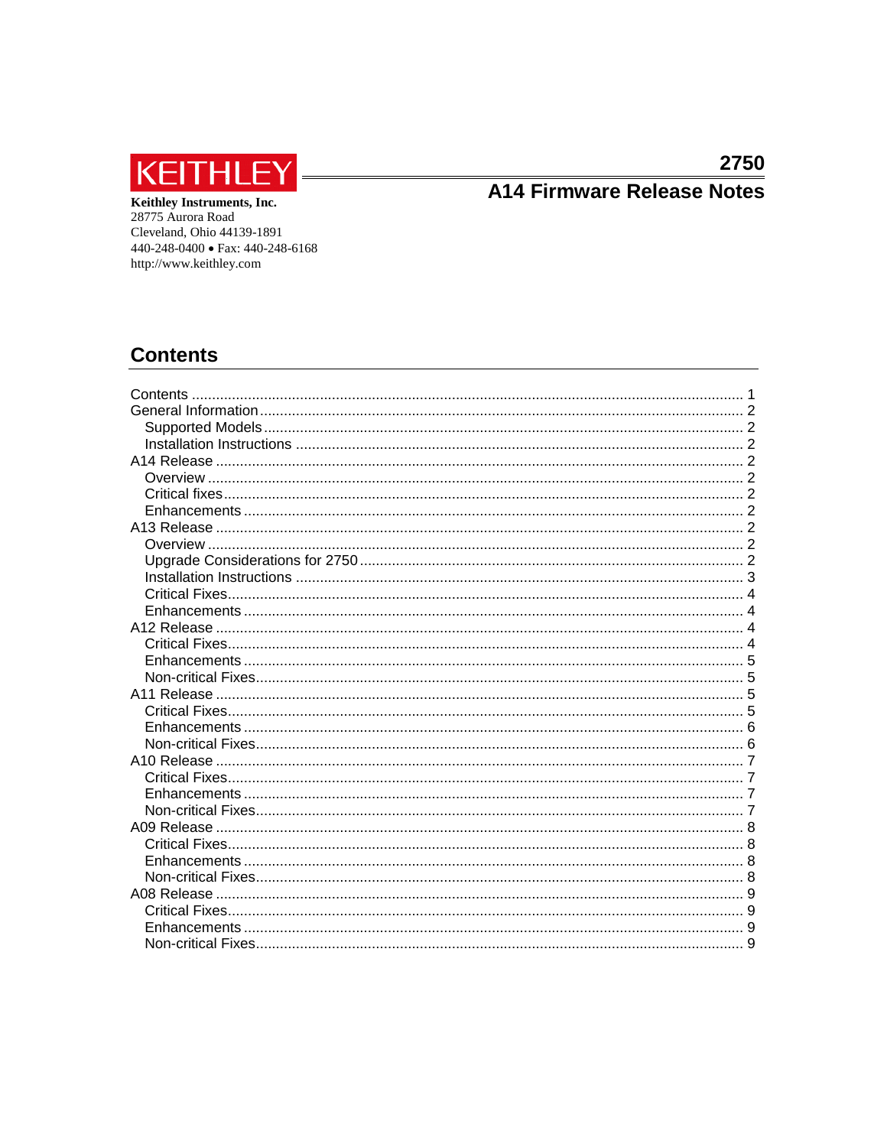

# A14 Firmware Release Notes

Keithley Instruments, Inc. 28775 Aurora Road Cleveland, Ohio 44139-1891 440-248-0400 • Fax: 440-248-6168 http://www.keithley.com

# <span id="page-0-0"></span>**Contents**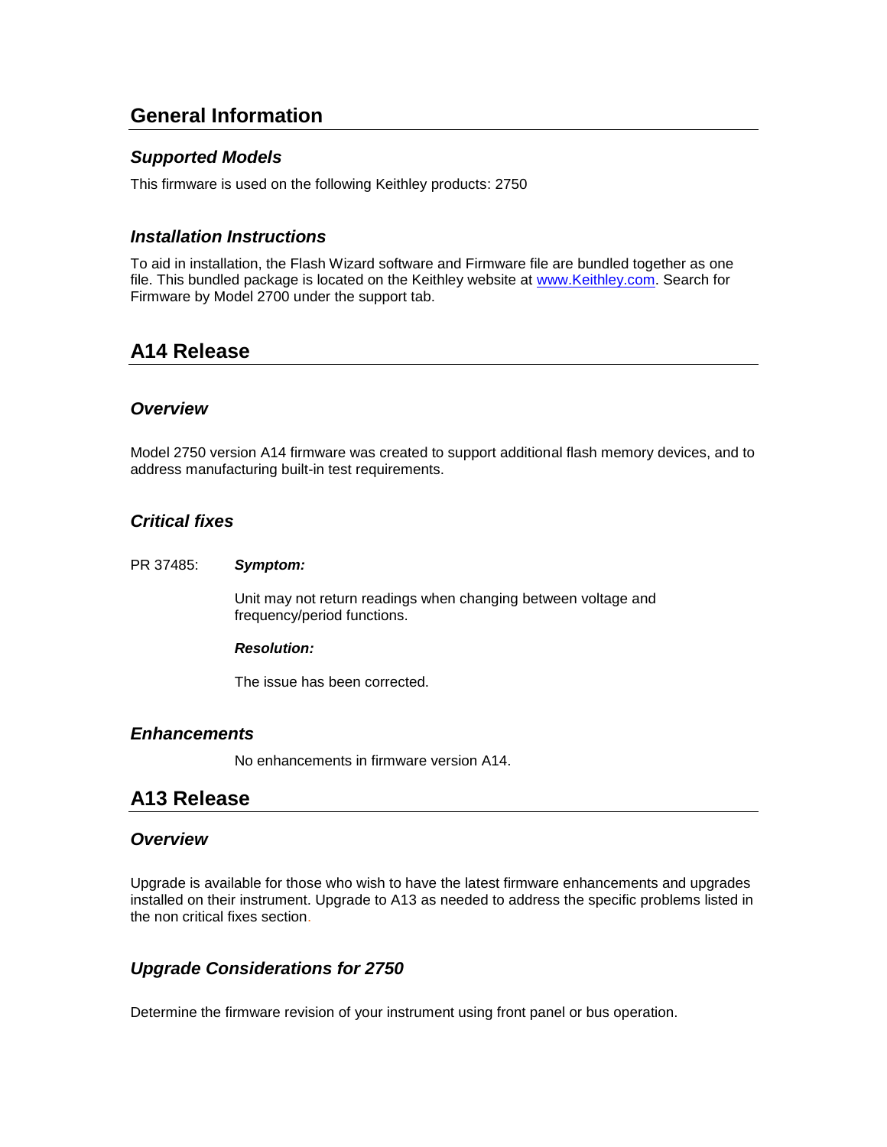# <span id="page-1-0"></span>**General Information**

# <span id="page-1-1"></span>*Supported Models*

This firmware is used on the following Keithley products: 2750

# <span id="page-1-2"></span>*Installation Instructions*

To aid in installation, the Flash Wizard software and Firmware file are bundled together as one file. This bundled package is located on the Keithley website at [www.Keithley.com.](http://www.keithley.com/) Search for Firmware by Model 2700 under the support tab.

# <span id="page-1-3"></span>**A14 Release**

# <span id="page-1-4"></span>*Overview*

Model 2750 version A14 firmware was created to support additional flash memory devices, and to address manufacturing built-in test requirements.

# <span id="page-1-5"></span>*Critical fixes*

#### PR 37485: *Symptom:*

Unit may not return readings when changing between voltage and frequency/period functions.

#### *Resolution:*

The issue has been corrected.

# <span id="page-1-6"></span>*Enhancements*

No enhancements in firmware version A14.

# <span id="page-1-7"></span>**A13 Release**

# <span id="page-1-8"></span>*Overview*

Upgrade is available for those who wish to have the latest firmware enhancements and upgrades installed on their instrument. Upgrade to A13 as needed to address the specific problems listed in the non critical fixes section.

# <span id="page-1-9"></span>*Upgrade Considerations for 2750*

Determine the firmware revision of your instrument using front panel or bus operation.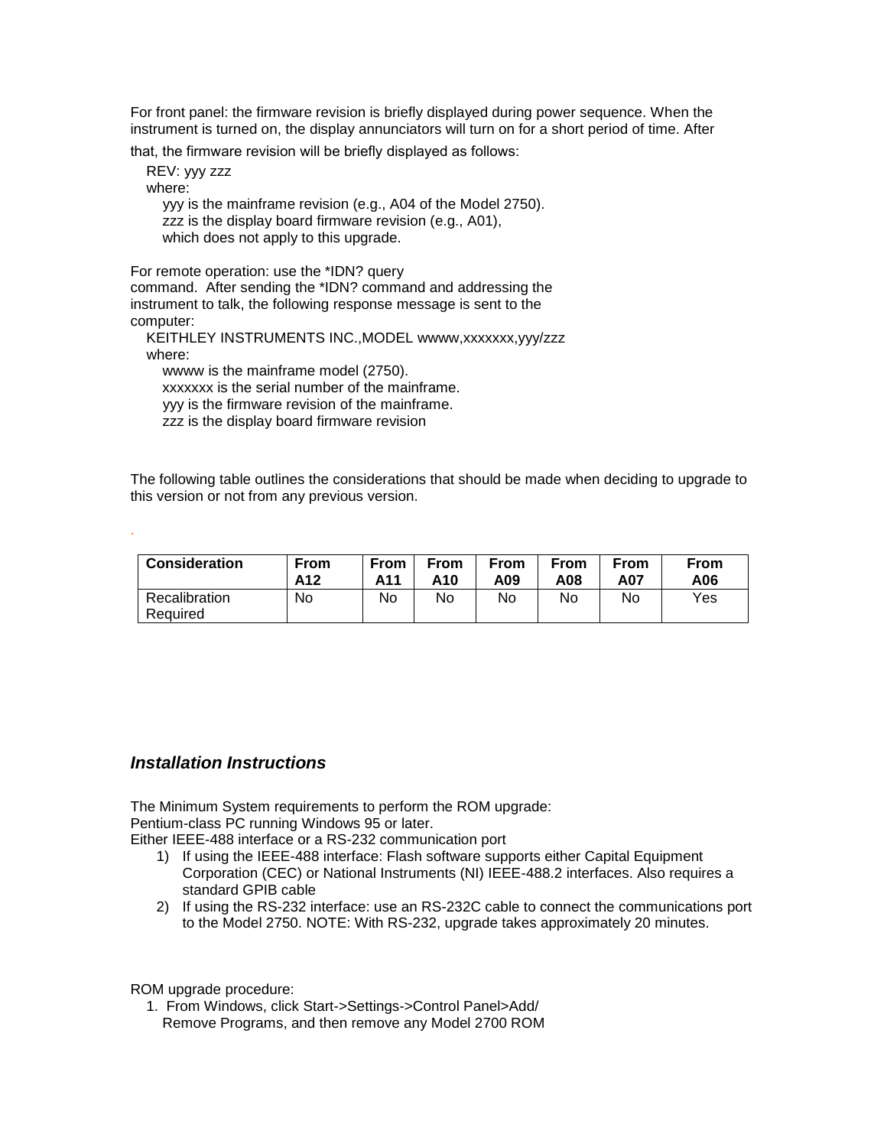For front panel: the firmware revision is briefly displayed during power sequence. When the instrument is turned on, the display annunciators will turn on for a short period of time. After

that, the firmware revision will be briefly displayed as follows:

 REV: yyy zzz where: yyy is the mainframe revision (e.g., A04 of the Model 2750). zzz is the display board firmware revision (e.g., A01), which does not apply to this upgrade.

For remote operation: use the \*IDN? query command. After sending the \*IDN? command and addressing the instrument to talk, the following response message is sent to the computer:

KEITHLEY INSTRUMENTS INC., MODEL wwww,xxxxxxx,yyy/zzz where: wwww is the mainframe model (2750).

xxxxxxx is the serial number of the mainframe.

yyy is the firmware revision of the mainframe.

zzz is the display board firmware revision

The following table outlines the considerations that should be made when deciding to upgrade to this version or not from any previous version.

| <b>Consideration</b>      | From | From | <b>From</b> | <b>From</b> | <b>From</b> | From | From |
|---------------------------|------|------|-------------|-------------|-------------|------|------|
|                           | A12  | A11  | A10         | A09         | A08         | A07  | A06  |
| Recalibration<br>Required | No   | No   | No          | No          | No          | No   | Yes  |

# <span id="page-2-0"></span>*Installation Instructions*

.

The Minimum System requirements to perform the ROM upgrade: Pentium-class PC running Windows 95 or later.

Either IEEE-488 interface or a RS-232 communication port

- 1) If using the IEEE-488 interface: Flash software supports either Capital Equipment Corporation (CEC) or National Instruments (NI) IEEE-488.2 interfaces. Also requires a standard GPIB cable
- 2) If using the RS-232 interface: use an RS-232C cable to connect the communications port to the Model 2750. NOTE: With RS-232, upgrade takes approximately 20 minutes.

ROM upgrade procedure:

 1. From Windows, click Start->Settings->Control Panel>Add/ Remove Programs, and then remove any Model 2700 ROM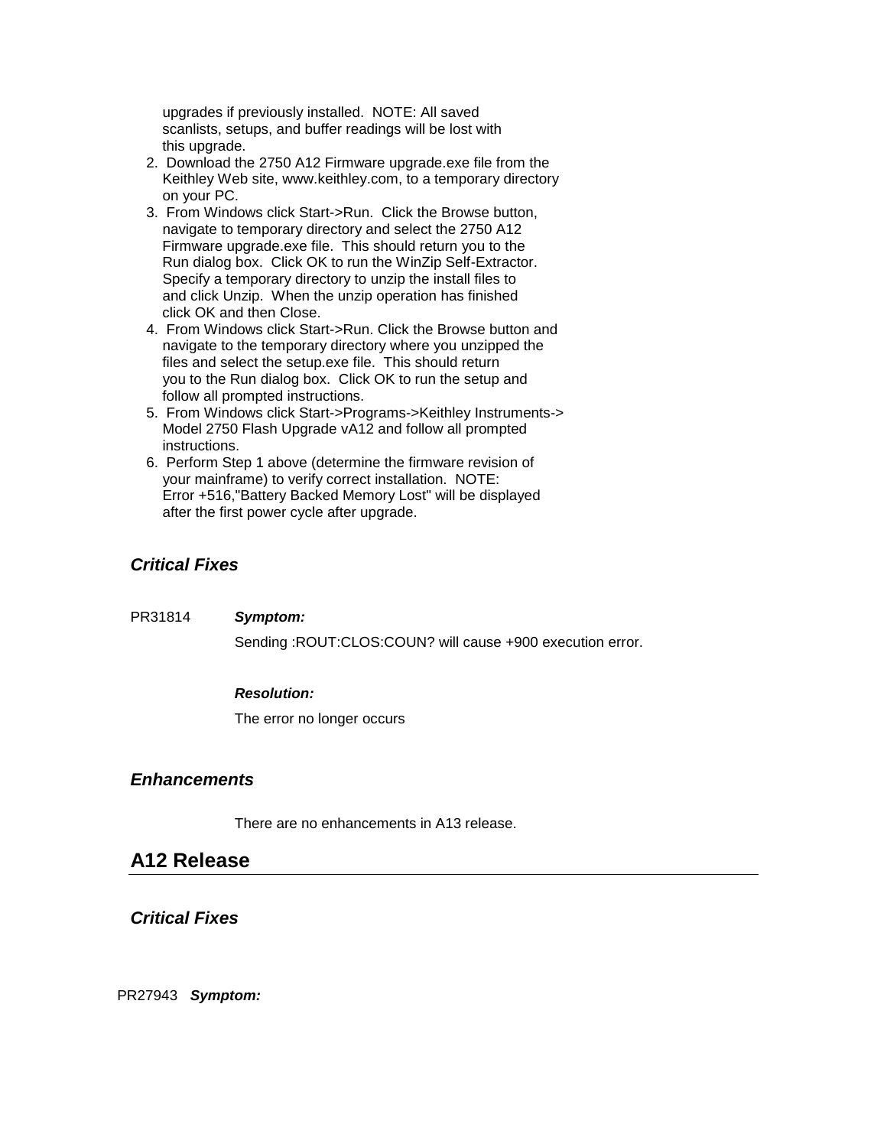upgrades if previously installed. NOTE: All saved scanlists, setups, and buffer readings will be lost with this upgrade.

- 2. Download the 2750 A12 Firmware upgrade.exe file from the Keithley Web site, www.keithley.com, to a temporary directory on your PC.
- 3. From Windows click Start->Run. Click the Browse button, navigate to temporary directory and select the 2750 A12 Firmware upgrade.exe file. This should return you to the Run dialog box. Click OK to run the WinZip Self-Extractor. Specify a temporary directory to unzip the install files to and click Unzip. When the unzip operation has finished click OK and then Close.
- 4. From Windows click Start->Run. Click the Browse button and navigate to the temporary directory where you unzipped the files and select the setup.exe file. This should return you to the Run dialog box. Click OK to run the setup and follow all prompted instructions.
- 5. From Windows click Start->Programs->Keithley Instruments-> Model 2750 Flash Upgrade vA12 and follow all prompted instructions.
- 6. Perform Step 1 above (determine the firmware revision of your mainframe) to verify correct installation. NOTE: Error +516,"Battery Backed Memory Lost" will be displayed after the first power cycle after upgrade.

# <span id="page-3-0"></span>*Critical Fixes*

PR31814 *Symptom:*

Sending :ROUT:CLOS:COUN? will cause +900 execution error.

# *Resolution:*

The error no longer occurs

# <span id="page-3-1"></span>*Enhancements*

There are no enhancements in A13 release.

# <span id="page-3-2"></span>**A12 Release**

<span id="page-3-3"></span>*Critical Fixes*

PR27943 *Symptom:*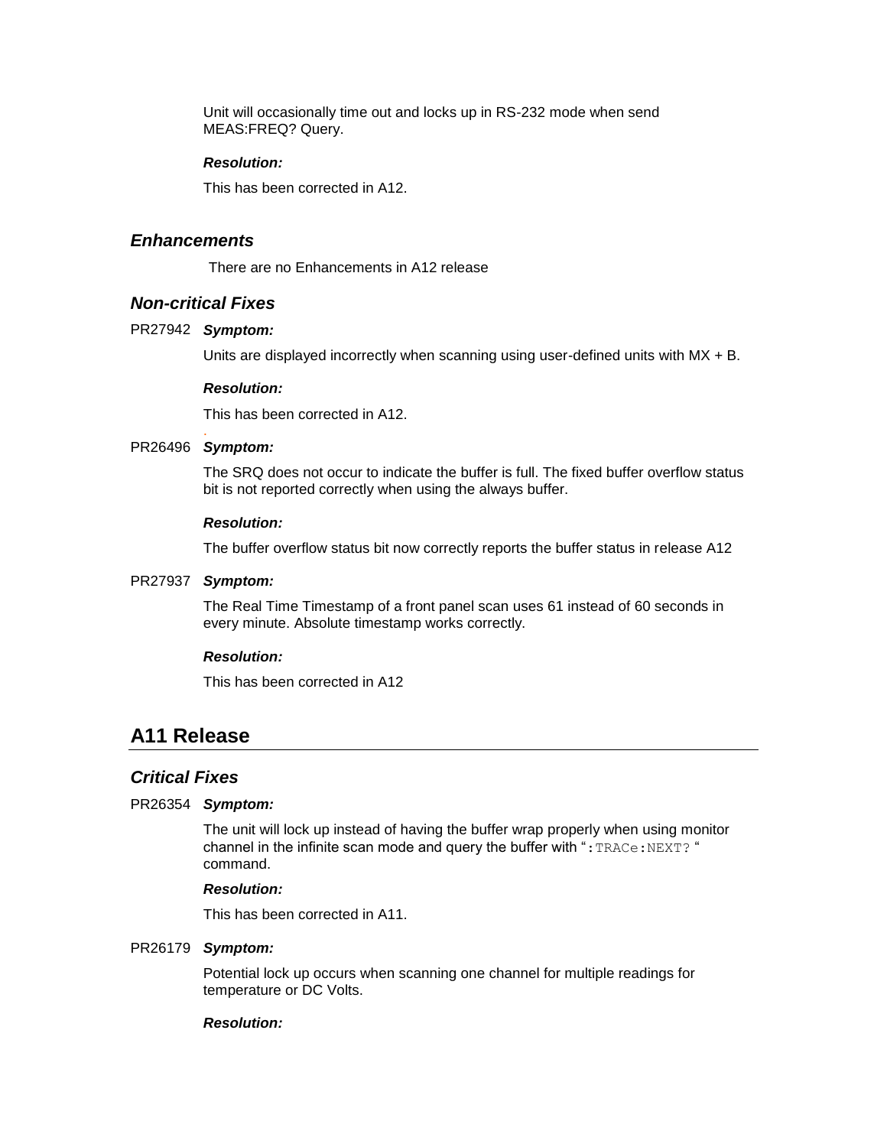Unit will occasionally time out and locks up in RS-232 mode when send MEAS:FREQ? Query.

#### *Resolution:*

This has been corrected in A12.

## <span id="page-4-0"></span>*Enhancements*

There are no Enhancements in A12 release

# <span id="page-4-1"></span>*Non-critical Fixes*

#### PR27942 **Symptom:**

Units are displayed incorrectly when scanning using user-defined units with MX + B.

#### *Resolution:*

This has been corrected in A12.

#### . PR26496 Symptom:

The SRQ does not occur to indicate the buffer is full. The fixed buffer overflow status bit is not reported correctly when using the always buffer.

#### *Resolution:*

The buffer overflow status bit now correctly reports the buffer status in release A12

#### PR27937 **Symptom:**

The Real Time Timestamp of a front panel scan uses 61 instead of 60 seconds in every minute. Absolute timestamp works correctly.

#### *Resolution:*

This has been corrected in A12

# <span id="page-4-2"></span>**A11 Release**

#### <span id="page-4-3"></span>*Critical Fixes*

#### PR26354 **Symptom:**

The unit will lock up instead of having the buffer wrap properly when using monitor channel in the infinite scan mode and query the buffer with " $: \texttt{TRACE} : \texttt{NEXT}$ ?" command.

#### *Resolution:*

This has been corrected in A11.

#### PR26179 **Symptom:**

Potential lock up occurs when scanning one channel for multiple readings for temperature or DC Volts.

#### *Resolution:*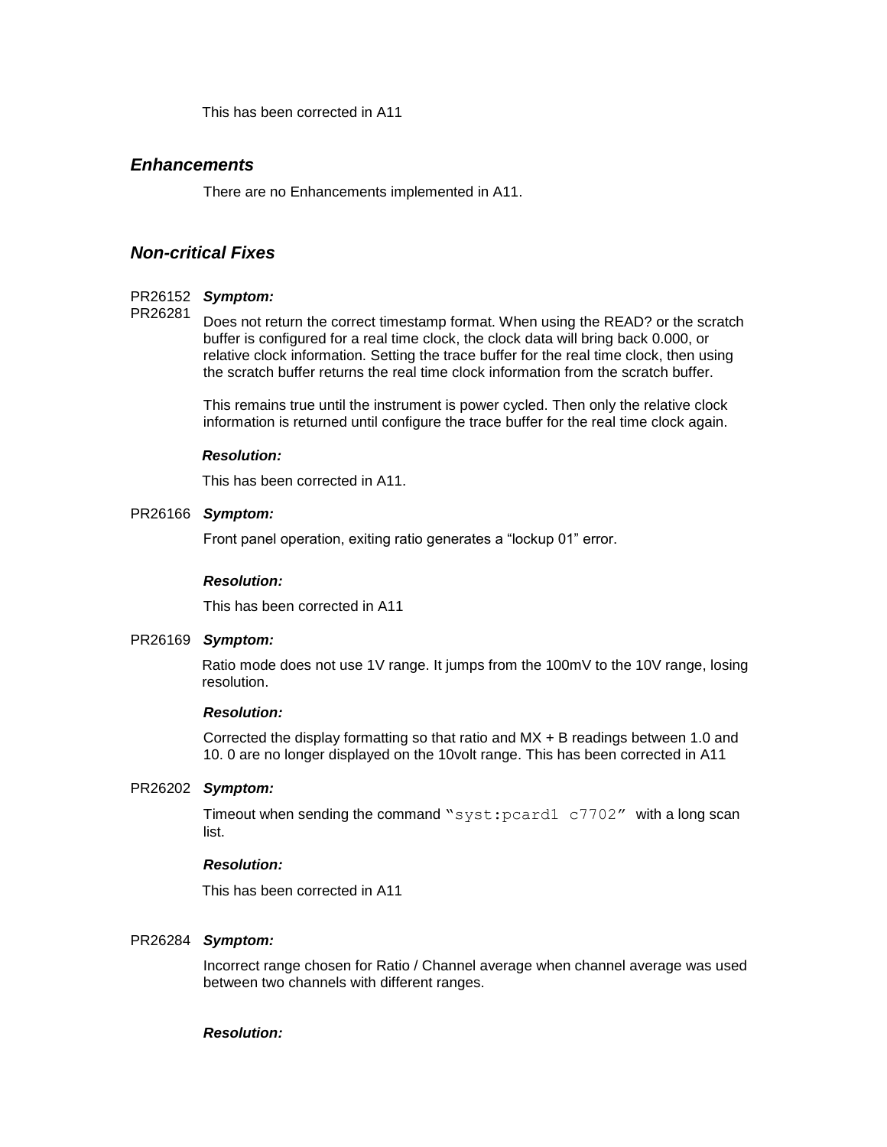This has been corrected in A11

## <span id="page-5-0"></span>*Enhancements*

There are no Enhancements implemented in A11.

# <span id="page-5-1"></span>*Non-critical Fixes*

#### PR26152 **Symptom:**

#### Does not return the correct timestamp format. When using the READ? or the scratch buffer is configured for a real time clock, the clock data will bring back 0.000, or relative clock information. Setting the trace buffer for the real time clock, then using the scratch buffer returns the real time clock information from the scratch buffer. PR26281

This remains true until the instrument is power cycled. Then only the relative clock information is returned until configure the trace buffer for the real time clock again.

#### *Resolution:*

This has been corrected in A11.

#### PR26166 Symptom:

Front panel operation, exiting ratio generates a "lockup 01" error.

#### *Resolution:*

This has been corrected in A11

#### PR26169 **Symptom:**

Ratio mode does not use 1V range. It jumps from the 100mV to the 10V range, losing resolution.

#### *Resolution:*

Corrected the display formatting so that ratio and MX + B readings between 1.0 and 10. 0 are no longer displayed on the 10volt range. This has been corrected in A11

#### PR26202 Symptom:

Timeout when sending the command "syst:pcard1 c7702" with a long scan list.

#### *Resolution:*

This has been corrected in A11

#### PR26284 Symptom:

Incorrect range chosen for Ratio / Channel average when channel average was used between two channels with different ranges.

#### *Resolution:*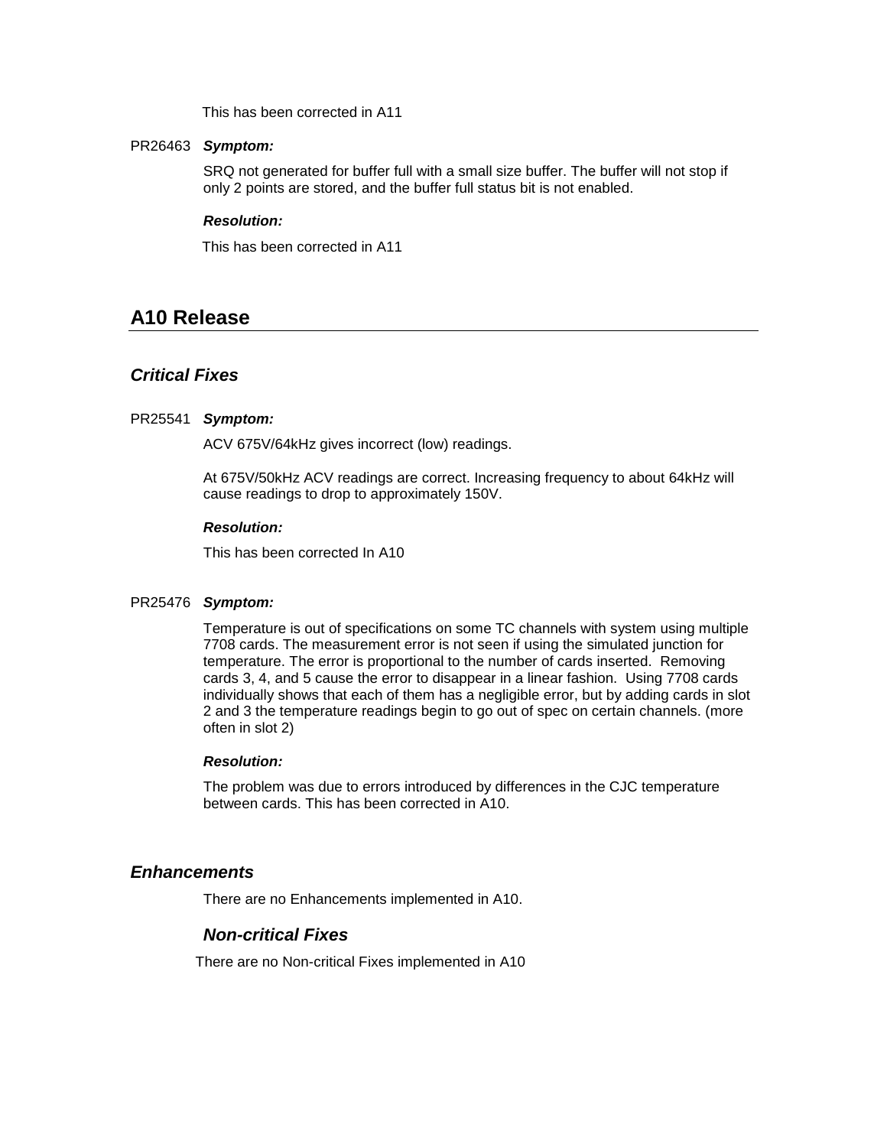This has been corrected in A11

#### PR26463 **Symptom:**

SRQ not generated for buffer full with a small size buffer. The buffer will not stop if only 2 points are stored, and the buffer full status bit is not enabled.

#### *Resolution:*

This has been corrected in A11

# <span id="page-6-0"></span>**A10 Release**

# <span id="page-6-1"></span>*Critical Fixes*

#### PR25541 **Symptom:**

ACV 675V/64kHz gives incorrect (low) readings.

At 675V/50kHz ACV readings are correct. Increasing frequency to about 64kHz will cause readings to drop to approximately 150V.

#### *Resolution:*

This has been corrected In A10

#### PR25476 Symptom:

Temperature is out of specifications on some TC channels with system using multiple 7708 cards. The measurement error is not seen if using the simulated junction for temperature. The error is proportional to the number of cards inserted. Removing cards 3, 4, and 5 cause the error to disappear in a linear fashion. Using 7708 cards individually shows that each of them has a negligible error, but by adding cards in slot 2 and 3 the temperature readings begin to go out of spec on certain channels. (more often in slot 2)

#### *Resolution:*

The problem was due to errors introduced by differences in the CJC temperature between cards. This has been corrected in A10.

#### <span id="page-6-2"></span>*Enhancements*

<span id="page-6-3"></span>There are no Enhancements implemented in A10.

## *Non-critical Fixes*

There are no Non-critical Fixes implemented in A10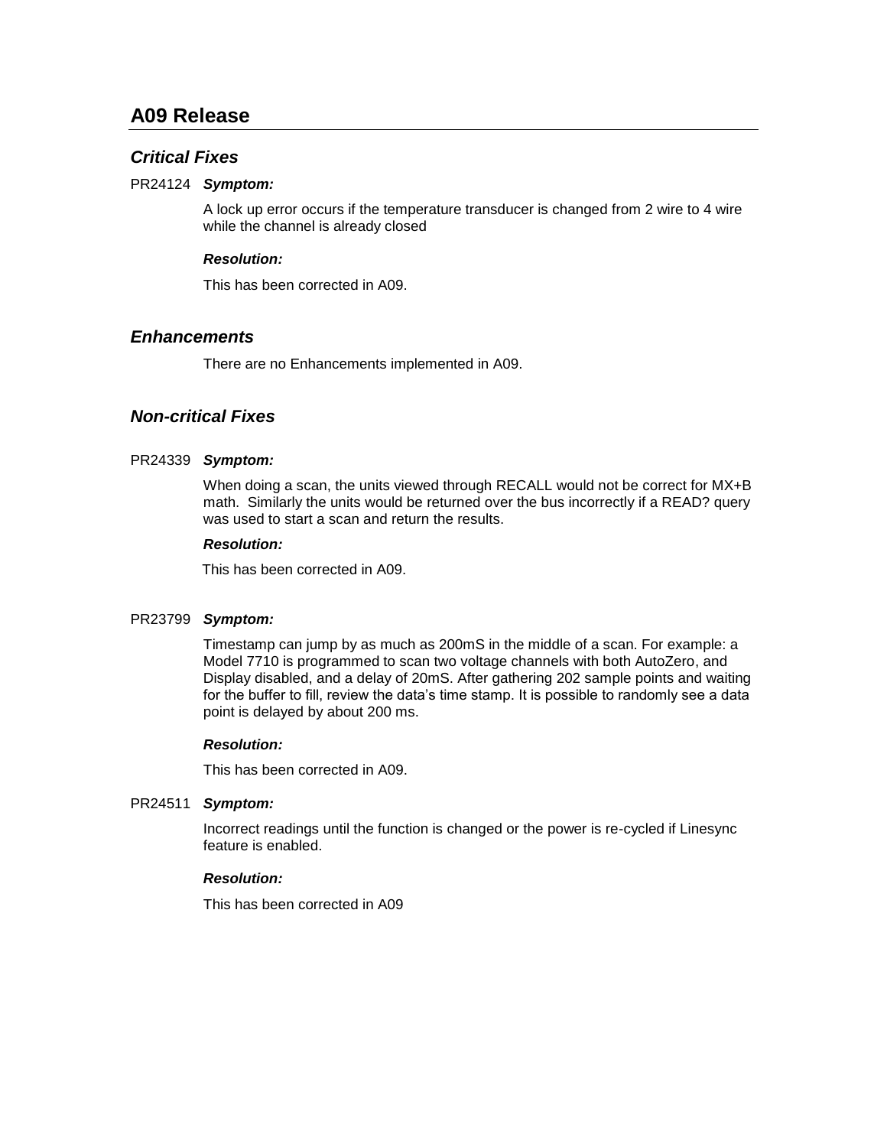# <span id="page-7-0"></span>**A09 Release**

## <span id="page-7-1"></span>*Critical Fixes*

#### PR24124 **Symptom:**

A lock up error occurs if the temperature transducer is changed from 2 wire to 4 wire while the channel is already closed

#### *Resolution:*

This has been corrected in A09.

#### <span id="page-7-2"></span>*Enhancements*

There are no Enhancements implemented in A09.

# <span id="page-7-3"></span>*Non-critical Fixes*

#### PR24339 **Symptom:**

When doing a scan, the units viewed through RECALL would not be correct for MX+B math. Similarly the units would be returned over the bus incorrectly if a READ? query was used to start a scan and return the results.

#### *Resolution:*

This has been corrected in A09.

#### PR23799 **Symptom:**

Timestamp can jump by as much as 200mS in the middle of a scan. For example: a Model 7710 is programmed to scan two voltage channels with both AutoZero, and Display disabled, and a delay of 20mS. After gathering 202 sample points and waiting for the buffer to fill, review the data's time stamp. It is possible to randomly see a data point is delayed by about 200 ms.

#### *Resolution:*

This has been corrected in A09.

#### *Symptom:* PR24511

Incorrect readings until the function is changed or the power is re-cycled if Linesync feature is enabled.

#### *Resolution:*

This has been corrected in A09